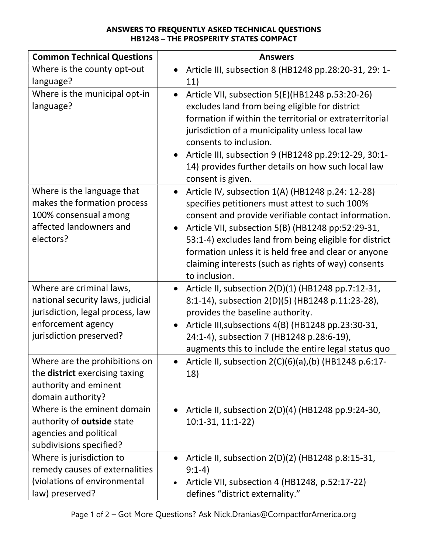## ANSWERS TO FREQUENTLY ASKED TECHNICAL QUESTIONS HB1248 – THE PROSPERITY STATES COMPACT

| <b>Common Technical Questions</b>                                                                                                                                                                                                                                         | <b>Answers</b>                                                                                                                                                                                                                                                                                                                                                                                           |
|---------------------------------------------------------------------------------------------------------------------------------------------------------------------------------------------------------------------------------------------------------------------------|----------------------------------------------------------------------------------------------------------------------------------------------------------------------------------------------------------------------------------------------------------------------------------------------------------------------------------------------------------------------------------------------------------|
| Where is the county opt-out                                                                                                                                                                                                                                               | Article III, subsection 8 (HB1248 pp.28:20-31, 29: 1-                                                                                                                                                                                                                                                                                                                                                    |
| language?                                                                                                                                                                                                                                                                 | 11)                                                                                                                                                                                                                                                                                                                                                                                                      |
| Where is the municipal opt-in<br>language?                                                                                                                                                                                                                                | Article VII, subsection 5(E)(HB1248 p.53:20-26)<br>excludes land from being eligible for district<br>formation if within the territorial or extraterritorial<br>jurisdiction of a municipality unless local law<br>consents to inclusion.<br>Article III, subsection 9 (HB1248 pp.29:12-29, 30:1-<br>$\bullet$<br>14) provides further details on how such local law<br>consent is given.                |
| Where is the language that<br>makes the formation process<br>100% consensual among<br>affected landowners and<br>electors?                                                                                                                                                | Article IV, subsection 1(A) (HB1248 p.24: 12-28)<br>specifies petitioners must attest to such 100%<br>consent and provide verifiable contact information.<br>Article VII, subsection 5(B) (HB1248 pp:52:29-31,<br>53:1-4) excludes land from being eligible for district<br>formation unless it is held free and clear or anyone<br>claiming interests (such as rights of way) consents<br>to inclusion. |
| Where are criminal laws,<br>national security laws, judicial<br>jurisdiction, legal process, law<br>enforcement agency<br>jurisdiction preserved?<br>Where are the prohibitions on<br>the <b>district</b> exercising taxing<br>authority and eminent<br>domain authority? | Article II, subsection 2(D)(1) (HB1248 pp.7:12-31,<br>$\bullet$<br>8:1-14), subsection 2(D)(5) (HB1248 p.11:23-28),<br>provides the baseline authority.<br>Article III, subsections 4(B) (HB1248 pp.23:30-31,<br>24:1-4), subsection 7 (HB1248 p.28:6-19),<br>augments this to include the entire legal status quo<br>Article II, subsection 2(C)(6)(a),(b) (HB1248 p.6:17-<br>18)                       |
| Where is the eminent domain<br>authority of outside state<br>agencies and political<br>subdivisions specified?                                                                                                                                                            | Article II, subsection 2(D)(4) (HB1248 pp.9:24-30,<br>10:1-31, 11:1-22)                                                                                                                                                                                                                                                                                                                                  |
| Where is jurisdiction to<br>remedy causes of externalities<br>(violations of environmental<br>law) preserved?                                                                                                                                                             | Article II, subsection 2(D)(2) (HB1248 p.8:15-31,<br>$9:1-4)$<br>Article VII, subsection 4 (HB1248, p.52:17-22)<br>defines "district externality."                                                                                                                                                                                                                                                       |